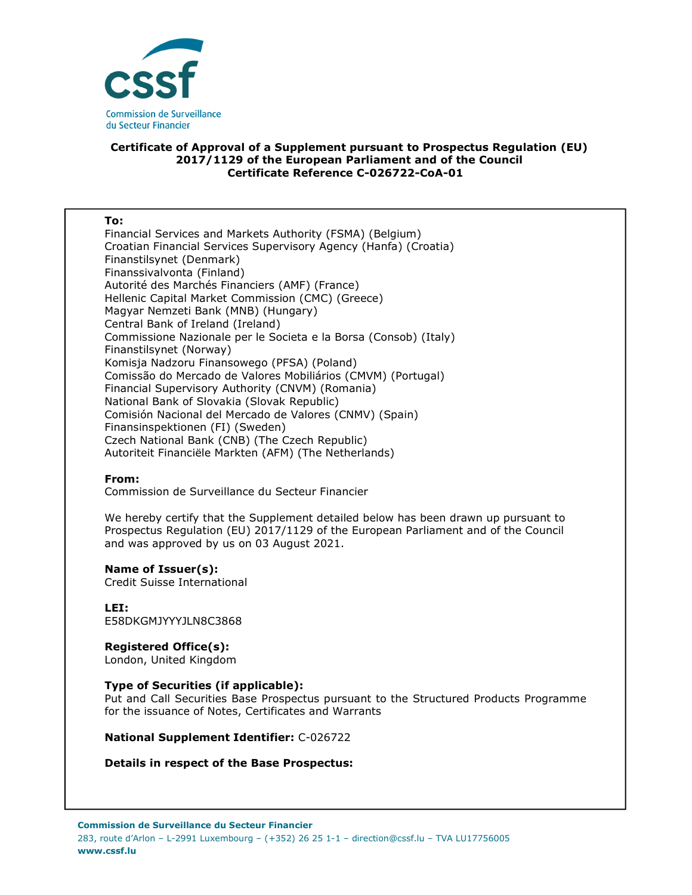

# **Certificate of Approval of a Supplement pursuant to Prospectus Regulation (EU) 2017/1129 of the European Parliament and of the Council Certificate Reference C-026722-CoA-01**

#### **To:**

Financial Services and Markets Authority (FSMA) (Belgium) Croatian Financial Services Supervisory Agency (Hanfa) (Croatia) Finanstilsynet (Denmark) Finanssivalvonta (Finland) Autorité des Marchés Financiers (AMF) (France) Hellenic Capital Market Commission (CMC) (Greece) Magyar Nemzeti Bank (MNB) (Hungary) Central Bank of Ireland (Ireland) Commissione Nazionale per le Societa e la Borsa (Consob) (Italy) Finanstilsynet (Norway) Komisja Nadzoru Finansowego (PFSA) (Poland) Comissão do Mercado de Valores Mobiliários (CMVM) (Portugal) Financial Supervisory Authority (CNVM) (Romania) National Bank of Slovakia (Slovak Republic) Comisión Nacional del Mercado de Valores (CNMV) (Spain) Finansinspektionen (FI) (Sweden) Czech National Bank (CNB) (The Czech Republic) Autoriteit Financiële Markten (AFM) (The Netherlands)

## **From:**

Commission de Surveillance du Secteur Financier

We hereby certify that the Supplement detailed below has been drawn up pursuant to Prospectus Regulation (EU) 2017/1129 of the European Parliament and of the Council and was approved by us on 03 August 2021.

#### **Name of Issuer(s):**

Credit Suisse International

**LEI:** E58DKGMJYYYJLN8C3868

# **Registered Office(s):**

London, United Kingdom

# **Type of Securities (if applicable):**

Put and Call Securities Base Prospectus pursuant to the Structured Products Programme for the issuance of Notes, Certificates and Warrants

**National Supplement Identifier:** C-026722

## **Details in respect of the Base Prospectus:**